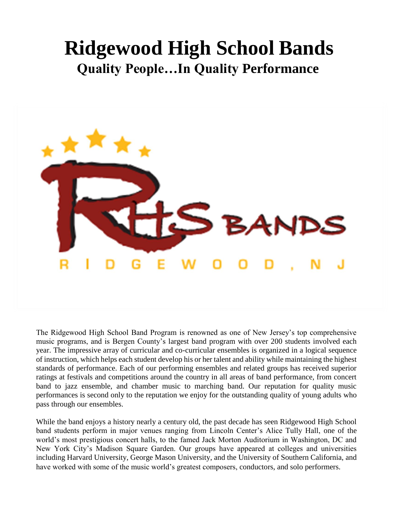# **Ridgewood High School Bands Quality People…In Quality Performance**



The Ridgewood High School Band Program is renowned as one of New Jersey's top comprehensive music programs, and is Bergen County's largest band program with over 200 students involved each year. The impressive array of curricular and co-curricular ensembles is organized in a logical sequence of instruction, which helps each student develop his or her talent and ability while maintaining the highest standards of performance. Each of our performing ensembles and related groups has received superior ratings at festivals and competitions around the country in all areas of band performance, from concert band to jazz ensemble, and chamber music to marching band. Our reputation for quality music performances is second only to the reputation we enjoy for the outstanding quality of young adults who pass through our ensembles.

While the band enjoys a history nearly a century old, the past decade has seen Ridgewood High School band students perform in major venues ranging from Lincoln Center's Alice Tully Hall, one of the world's most prestigious concert halls, to the famed Jack Morton Auditorium in Washington, DC and New York City's Madison Square Garden. Our groups have appeared at colleges and universities including Harvard University, George Mason University, and the University of Southern California, and have worked with some of the music world's greatest composers, conductors, and solo performers.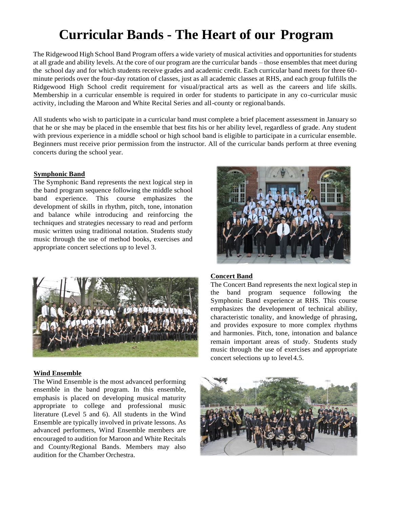# **Curricular Bands - The Heart of our Program**

The Ridgewood High School Band Program offers a wide variety of musical activities and opportunities for students at all grade and ability levels. At the core of our program are the curricular bands – those ensembles that meet during the school day and for which students receive grades and academic credit. Each curricular band meets for three 60 minute periods over the four-day rotation of classes, just as all academic classes at RHS, and each group fulfills the Ridgewood High School credit requirement for visual/practical arts as well as the careers and life skills. Membership in a curricular ensemble is required in order for students to participate in any co-curricular music activity, including the Maroon and White Recital Series and all-county or regional bands.

All students who wish to participate in a curricular band must complete a brief placement assessment in January so that he or she may be placed in the ensemble that best fits his or her ability level, regardless of grade. Any student with previous experience in a middle school or high school band is eligible to participate in a curricular ensemble. Beginners must receive prior permission from the instructor. All of the curricular bands perform at three evening concerts during the school year.

#### **Symphonic Band**

The Symphonic Band represents the next logical step in the band program sequence following the middle school band experience. This course emphasizes the development of skills in rhythm, pitch, tone, intonation and balance while introducing and reinforcing the techniques and strategies necessary to read and perform music written using traditional notation. Students study music through the use of method books, exercises and appropriate concert selections up to level 3.



#### **Wind Ensemble**

The Wind Ensemble is the most advanced performing ensemble in the band program. In this ensemble, emphasis is placed on developing musical maturity appropriate to college and professional music literature (Level 5 and 6). All students in the Wind Ensemble are typically involved in private lessons. As advanced performers, Wind Ensemble members are encouraged to audition for Maroon and White Recitals and County/Regional Bands. Members may also audition for the Chamber Orchestra.



#### **Concert Band**

The Concert Band represents the next logical step in the band program sequence following the Symphonic Band experience at RHS. This course emphasizes the development of technical ability, characteristic tonality, and knowledge of phrasing, and provides exposure to more complex rhythms and harmonies. Pitch, tone, intonation and balance remain important areas of study. Students study music through the use of exercises and appropriate concert selections up to level 4.5.

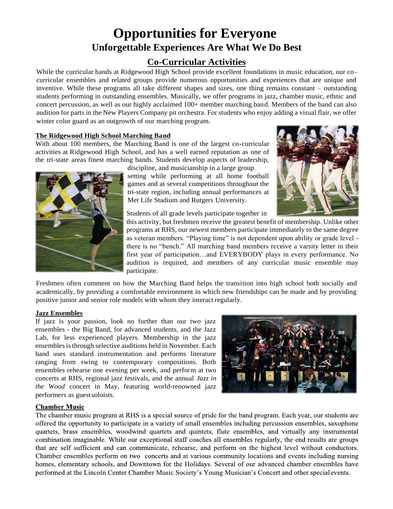### **Opportunities for Everyone Unforgettable Experiences Are What We Do Best**

#### **Co-Curricular Activities**

While the curricular bands at Ridgewood High School provide excellent foundations in music education, our cocurricular ensembles and related groups provide numerous opportunities and experiences that are unique and inventive. While these programs all take different shapes and sizes, one thing remains constant – outstanding students performing in outstanding ensembles. Musically, we offer programs in jazz, chamber music, ethnic and concert percussion, as well as our highly acclaimed 100+ member marching band. Members of the band can also audition for parts in the New Players Company pit orchestra. For students who enjoy adding a visual flair, we offer winter color guard as an outgrowth of our marching program.

#### **The Ridgewood High School Marching Band**

With about 100 members, the Marching Band is one of the largest co-curricular activities at Ridgewood High School, and has a well earned reputation as one of the tri-state areas finest marching bands. Students develop aspects of leadership,



discipline, and musicianship in a large group setting while performing at all home football games and at several competitions throughout the tri-state region, including annual performances at Met Life Stadium and Rutgers University.



Students of all grade levels participate together in

this activity, but freshmen receive the greatest benefit of membership. Unlike other programs at RHS, our newest members participate immediately to the same degree as veteran members. "Playing time" is not dependent upon ability or grade level there is no "bench." All marching band members receive a varsity letter in their first year of participation…and EVERYBODY plays in every performance. No audition is required, and members of any curricular music ensemble may participate.

Freshmen often comment on how the Marching Band helps the transition into high school both socially and academically, by providing a comfortable environment in which new friendships can be made and by providing positive junior and senior role models with whom they interact regularly.

#### **Jazz Ensembles**

If jazz is your passion, look no further than our two jazz ensembles - the Big Band, for advanced students, and the Jazz Lab, for less experienced players. Membership in the jazz ensembles is through selective auditions held in November. Each band uses standard instrumentation and performs literature ranging from swing to contemporary compositions. Both ensembles rehearse one evening per week, and perform at two concerts at RHS, regional jazz festivals, and the annual *Jazz in the Wood* concert in May, featuring world-renowned jazz performers as guestsoloists.



#### **Chamber Music**

The chamber music program at RHS is a special source of pride for the band program. Each year, our students are offered the opportunity to participate in a variety of small ensembles including percussion ensembles, saxophone quartets, brass ensembles, woodwind quartets and quintets, flute ensembles, and virtually any instrumental combination imaginable. While our exceptional staff coaches all ensembles regularly, the end results are groups that are self sufficient and can communicate, rehearse, and perform on the highest level without conductors. Chamber ensembles perform on two concerts and at various community locations and events including nursing homes, elementary schools, and Downtown for the Holidays. Several of our advanced chamber ensembles have performed at the Lincoln Center Chamber Music Society's Young Musician's Concert and other special events.